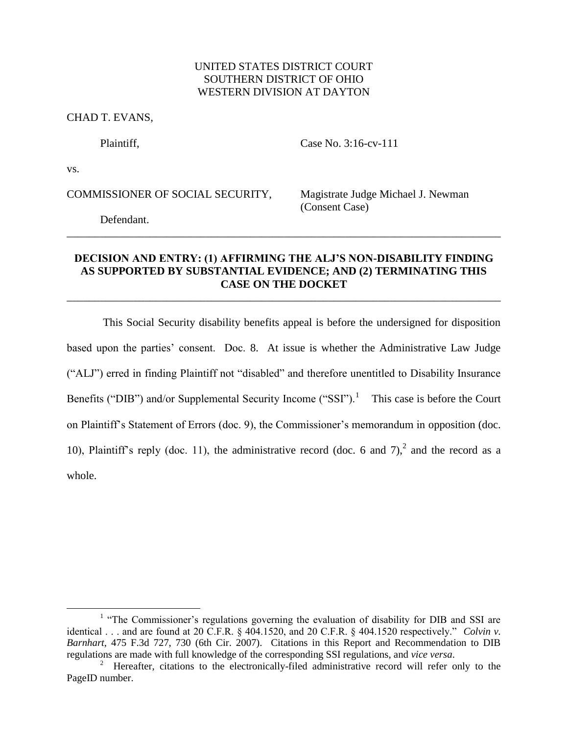# UNITED STATES DISTRICT COURT SOUTHERN DISTRICT OF OHIO WESTERN DIVISION AT DAYTON

CHAD T. EVANS,

Plaintiff, Case No. 3:16-cv-111

vs.

 $\overline{a}$ 

COMMISSIONER OF SOCIAL SECURITY, Magistrate Judge Michael J. Newman

(Consent Case)

Defendant.

# **DECISION AND ENTRY: (1) AFFIRMING THE ALJ'S NON-DISABILITY FINDING AS SUPPORTED BY SUBSTANTIAL EVIDENCE; AND (2) TERMINATING THIS CASE ON THE DOCKET**

\_\_\_\_\_\_\_\_\_\_\_\_\_\_\_\_\_\_\_\_\_\_\_\_\_\_\_\_\_\_\_\_\_\_\_\_\_\_\_\_\_\_\_\_\_\_\_\_\_\_\_\_\_\_\_\_\_\_\_\_\_\_\_\_\_\_\_\_\_\_\_\_\_\_\_\_\_\_

\_\_\_\_\_\_\_\_\_\_\_\_\_\_\_\_\_\_\_\_\_\_\_\_\_\_\_\_\_\_\_\_\_\_\_\_\_\_\_\_\_\_\_\_\_\_\_\_\_\_\_\_\_\_\_\_\_\_\_\_\_\_\_\_\_\_\_\_\_\_\_\_\_\_\_\_\_\_

This Social Security disability benefits appeal is before the undersigned for disposition based upon the parties' consent. Doc. 8. At issue is whether the Administrative Law Judge ("ALJ") erred in finding Plaintiff not "disabled" and therefore unentitled to Disability Insurance Benefits ("DIB") and/or Supplemental Security Income ("SSI").<sup>1</sup> This case is before the Court on Plaintiff's Statement of Errors (doc. 9), the Commissioner's memorandum in opposition (doc. 10), Plaintiff's reply (doc. 11), the administrative record (doc. 6 and  $7$ ),<sup>2</sup> and the record as a whole.

<sup>&</sup>lt;sup>1</sup> "The Commissioner's regulations governing the evaluation of disability for DIB and SSI are identical . . . and are found at 20 C.F.R. § 404.1520, and 20 C.F.R. § 404.1520 respectively." *Colvin v. Barnhart*, 475 F.3d 727, 730 (6th Cir. 2007). Citations in this Report and Recommendation to DIB regulations are made with full knowledge of the corresponding SSI regulations, and *vice versa*.

<sup>&</sup>lt;sup>2</sup> Hereafter, citations to the electronically-filed administrative record will refer only to the PageID number.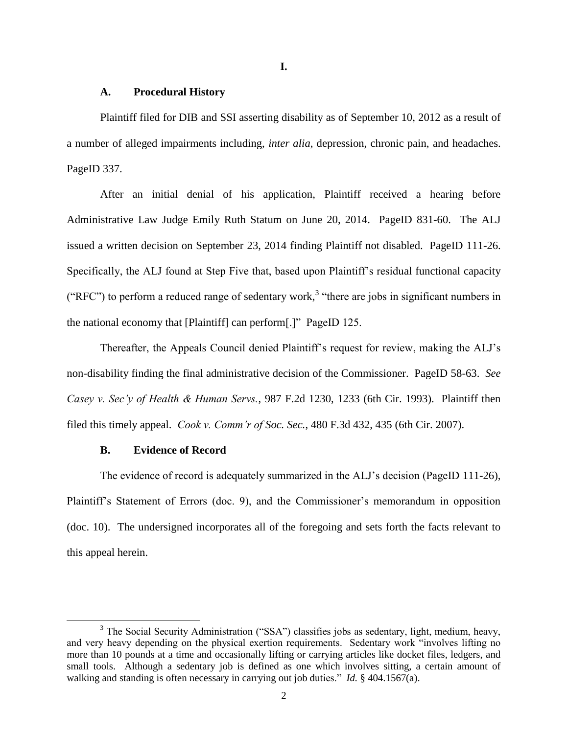## **I.**

## **A. Procedural History**

Plaintiff filed for DIB and SSI asserting disability as of September 10, 2012 as a result of a number of alleged impairments including, *inter alia*, depression, chronic pain, and headaches. PageID 337.

After an initial denial of his application, Plaintiff received a hearing before Administrative Law Judge Emily Ruth Statum on June 20, 2014. PageID 831-60. The ALJ issued a written decision on September 23, 2014 finding Plaintiff not disabled. PageID 111-26. Specifically, the ALJ found at Step Five that, based upon Plaintiff's residual functional capacity ("RFC") to perform a reduced range of sedentary work,<sup>3</sup> "there are jobs in significant numbers in the national economy that [Plaintiff] can perform[.]" PageID 125.

Thereafter, the Appeals Council denied Plaintiff's request for review, making the ALJ's non-disability finding the final administrative decision of the Commissioner. PageID 58-63. *See Casey v. Sec'y of Health & Human Servs.*, 987 F.2d 1230, 1233 (6th Cir. 1993). Plaintiff then filed this timely appeal. *Cook v. Comm'r of Soc. Sec.*, 480 F.3d 432, 435 (6th Cir. 2007).

# **B. Evidence of Record**

 $\overline{a}$ 

The evidence of record is adequately summarized in the ALJ's decision (PageID 111-26), Plaintiff's Statement of Errors (doc. 9), and the Commissioner's memorandum in opposition (doc. 10). The undersigned incorporates all of the foregoing and sets forth the facts relevant to this appeal herein.

<sup>&</sup>lt;sup>3</sup> The Social Security Administration ("SSA") classifies jobs as sedentary, light, medium, heavy, and very heavy depending on the physical exertion requirements. Sedentary work "involves lifting no more than 10 pounds at a time and occasionally lifting or carrying articles like docket files, ledgers, and small tools. Although a sedentary job is defined as one which involves sitting, a certain amount of walking and standing is often necessary in carrying out job duties." *Id.* § 404.1567(a).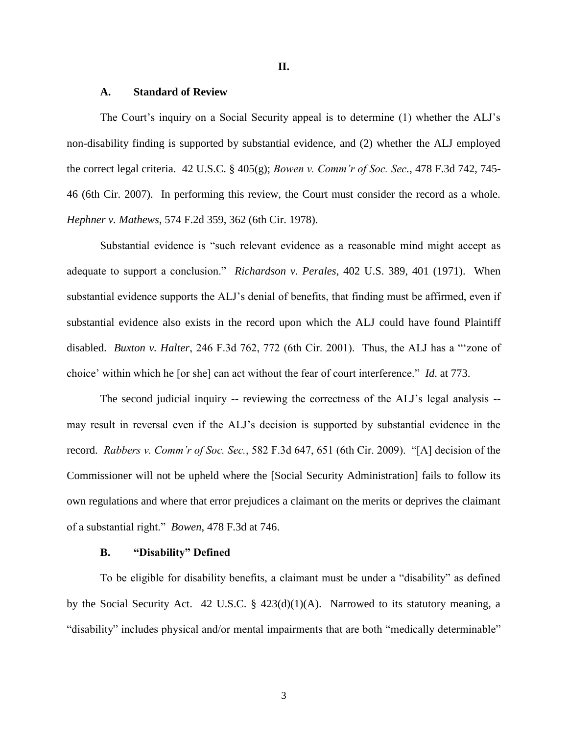**II.**

### **A. Standard of Review**

The Court's inquiry on a Social Security appeal is to determine (1) whether the ALJ's non-disability finding is supported by substantial evidence, and (2) whether the ALJ employed the correct legal criteria. 42 U.S.C. § 405(g); *Bowen v. Comm'r of Soc. Sec.*, 478 F.3d 742, 745- 46 (6th Cir. 2007). In performing this review, the Court must consider the record as a whole. *Hephner v. Mathews*, 574 F.2d 359, 362 (6th Cir. 1978).

Substantial evidence is "such relevant evidence as a reasonable mind might accept as adequate to support a conclusion." *Richardson v. Perales*, 402 U.S. 389, 401 (1971). When substantial evidence supports the ALJ's denial of benefits, that finding must be affirmed, even if substantial evidence also exists in the record upon which the ALJ could have found Plaintiff disabled. *Buxton v. Halter*, 246 F.3d 762, 772 (6th Cir. 2001). Thus, the ALJ has a "'zone of choice' within which he [or she] can act without the fear of court interference." *Id*. at 773.

The second judicial inquiry -- reviewing the correctness of the ALJ's legal analysis - may result in reversal even if the ALJ's decision is supported by substantial evidence in the record. *Rabbers v. Comm'r of Soc. Sec.*, 582 F.3d 647, 651 (6th Cir. 2009). "[A] decision of the Commissioner will not be upheld where the [Social Security Administration] fails to follow its own regulations and where that error prejudices a claimant on the merits or deprives the claimant of a substantial right." *Bowen*, 478 F.3d at 746.

### **B. "Disability" Defined**

To be eligible for disability benefits, a claimant must be under a "disability" as defined by the Social Security Act. 42 U.S.C. § 423(d)(1)(A). Narrowed to its statutory meaning, a "disability" includes physical and/or mental impairments that are both "medically determinable"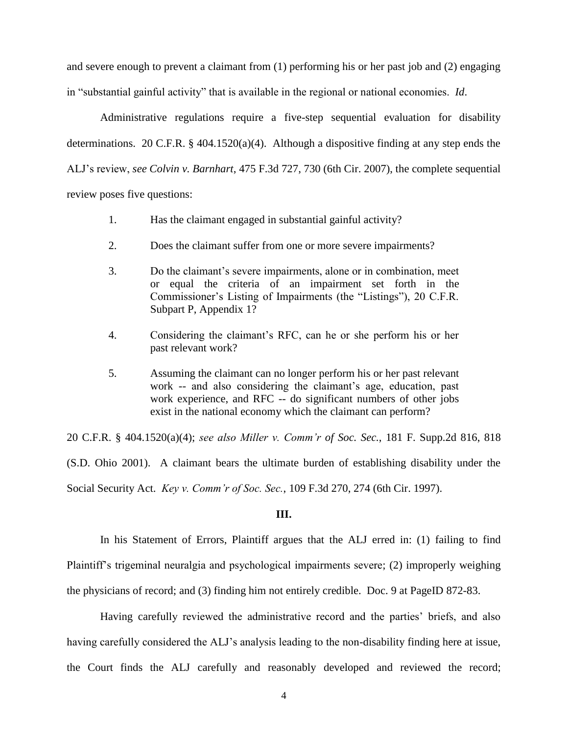and severe enough to prevent a claimant from (1) performing his or her past job and (2) engaging in "substantial gainful activity" that is available in the regional or national economies. *Id*.

Administrative regulations require a five-step sequential evaluation for disability determinations. 20 C.F.R.  $\S$  404.1520(a)(4). Although a dispositive finding at any step ends the ALJ's review, *see Colvin v. Barnhart*, 475 F.3d 727, 730 (6th Cir. 2007), the complete sequential review poses five questions:

- 1. Has the claimant engaged in substantial gainful activity?
- 2. Does the claimant suffer from one or more severe impairments?
- 3. Do the claimant's severe impairments, alone or in combination, meet or equal the criteria of an impairment set forth in the Commissioner's Listing of Impairments (the "Listings"), 20 C.F.R. Subpart P, Appendix 1?
- 4. Considering the claimant's RFC, can he or she perform his or her past relevant work?
- 5. Assuming the claimant can no longer perform his or her past relevant work -- and also considering the claimant's age, education, past work experience, and RFC -- do significant numbers of other jobs exist in the national economy which the claimant can perform?

20 C.F.R. § 404.1520(a)(4); *see also Miller v. Comm'r of Soc. Sec.*, 181 F. Supp.2d 816, 818 (S.D. Ohio 2001). A claimant bears the ultimate burden of establishing disability under the Social Security Act. *Key v. Comm'r of Soc. Sec.*, 109 F.3d 270, 274 (6th Cir. 1997).

#### **III.**

In his Statement of Errors, Plaintiff argues that the ALJ erred in: (1) failing to find Plaintiff's trigeminal neuralgia and psychological impairments severe; (2) improperly weighing the physicians of record; and (3) finding him not entirely credible. Doc. 9 at PageID 872-83.

Having carefully reviewed the administrative record and the parties' briefs, and also having carefully considered the ALJ's analysis leading to the non-disability finding here at issue, the Court finds the ALJ carefully and reasonably developed and reviewed the record;